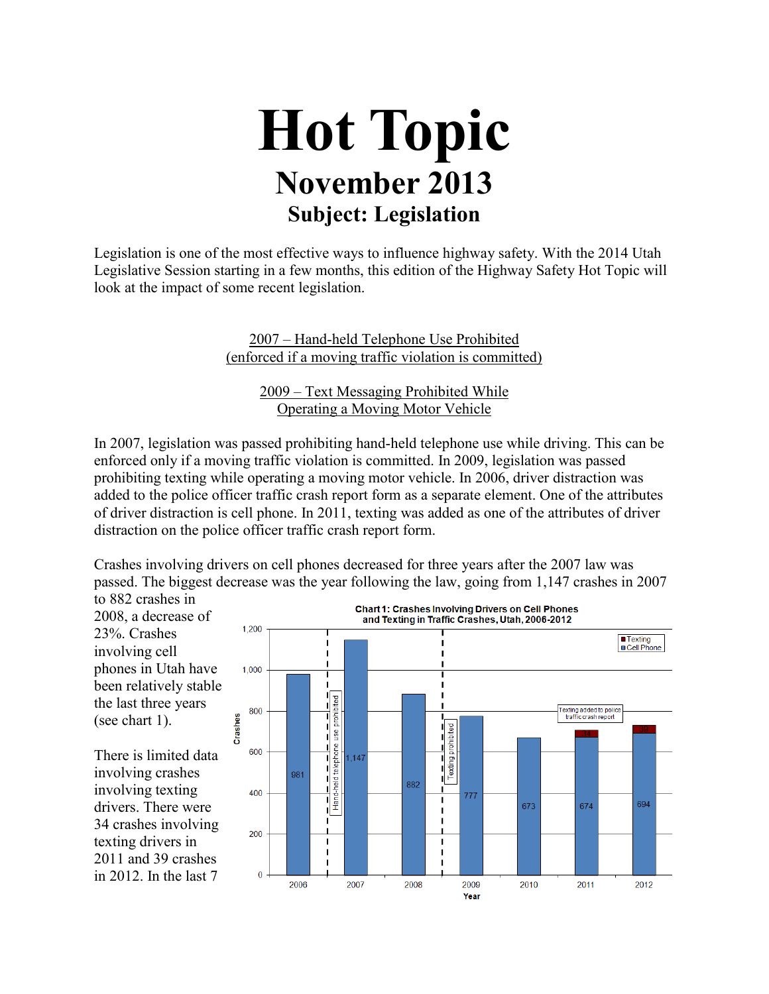## **Hot Topic November 2013 Subject: Legislation**

Legislation is one of the most effective ways to influence highway safety. With the 2014 Utah Legislative Session starting in a few months, this edition of the Highway Safety Hot Topic will look at the impact of some recent legislation.

> 2007 – Hand-held Telephone Use Prohibited (enforced if a moving traffic violation is committed)

> > 2009 – Text Messaging Prohibited While Operating a Moving Motor Vehicle

In 2007, legislation was passed prohibiting hand-held telephone use while driving. This can be enforced only if a moving traffic violation is committed. In 2009, legislation was passed prohibiting texting while operating a moving motor vehicle. In 2006, driver distraction was added to the police officer traffic crash report form as a separate element. One of the attributes of driver distraction is cell phone. In 2011, texting was added as one of the attributes of driver distraction on the police officer traffic crash report form.

Crashes involving drivers on cell phones decreased for three years after the 2007 law was passed. The biggest decrease was the year following the law, going from 1,147 crashes in 2007

to 882 crashes in 2008, a decrease of 23%. Crashes involving cell phones in Utah have been relatively stable the last three years (see chart 1).

There is limited data involving crashes involving texting drivers. There were 34 crashes involving texting drivers in 2011 and 39 crashes in 2012. In the last 7

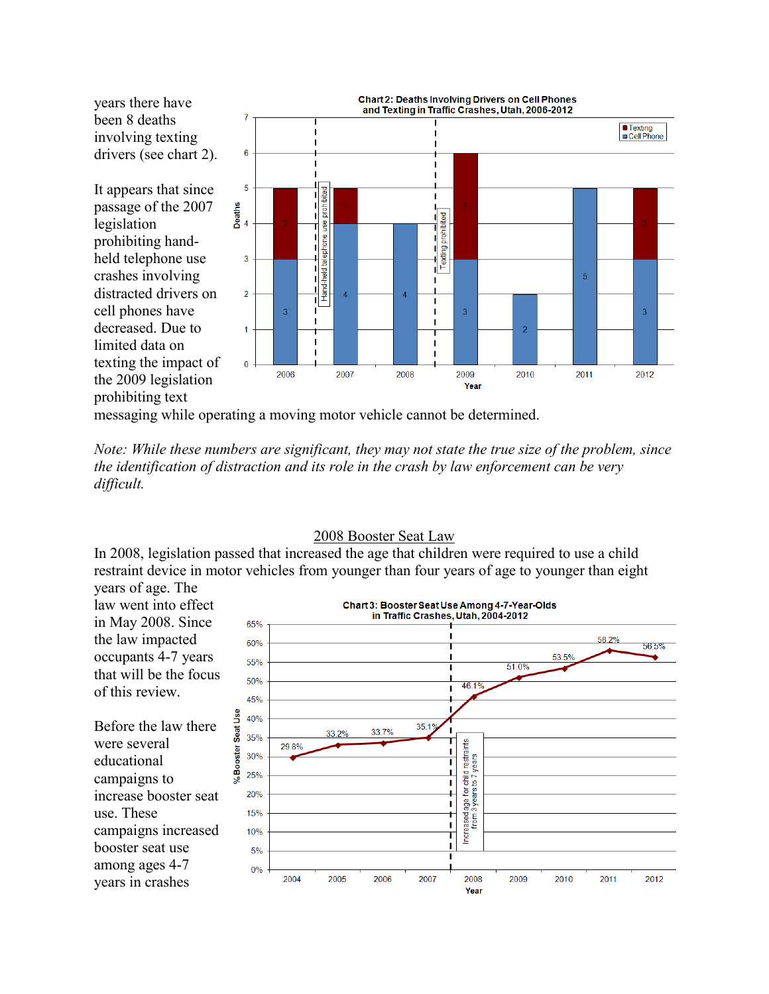years there have been 8 deaths involving texting drivers (see chart 2).

It appears that since passage of the 2007 legislation prohibiting handheld telephone use crashes involving distracted drivers on cell phones have decreased. Due to limited data on texting the impact of the 2009 legislation prohibiting text



messaging while operating a moving motor vehicle cannot be determined.

*Note: While these numbers are significant, they may not state the true size of the problem, since the identification of distraction and its role in the crash by law enforcement can be very difficult.*

## 2008 Booster Seat Law

In 2008, legislation passed that increased the age that children were required to use a child restraint device in motor vehicles from younger than four years of age to younger than eight years of age. The

law went into effect Chart 3: Booster Seat Use Among 4-7-Year-Olds in Traffic Crashes, Utah, 2004-2012 in May 2008. Since 65% the law impacted 58.2% 60% 56.5% occupants 4-7 years 53.5% 55% 51.0% that will be the focus 50%  $461%$ of this review. 45% Booster Seat Use 40%  $351$ 33.2% 337% 35% Increased age for child restraints<br>from 3 years to 7 years 29.8% I. 30% ı 25% 1  $20%$ п 15%  $10%$  $5%$  $0%$ 2004 2005 2006 2007 2008 2009 2010 2011 2012 years in crashes Year

Before the law there were several educational campaigns to increase booster seat use. These campaigns increased booster seat use among ages 4-7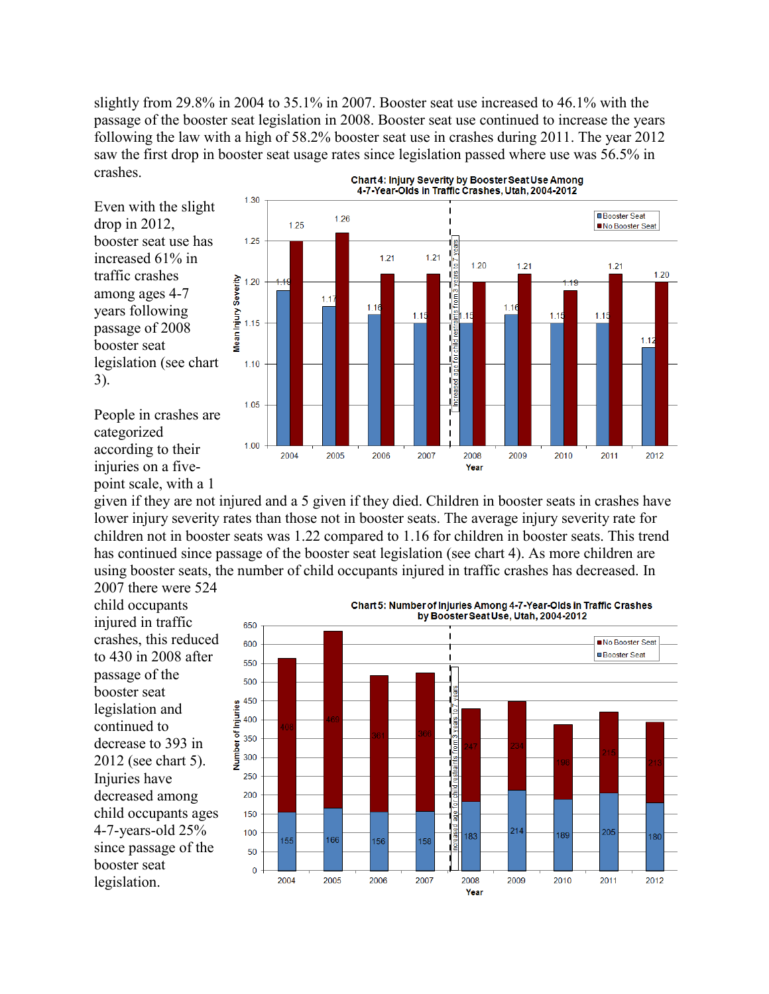slightly from 29.8% in 2004 to 35.1% in 2007. Booster seat use increased to 46.1% with the passage of the booster seat legislation in 2008. Booster seat use continued to increase the years following the law with a high of 58.2% booster seat use in crashes during 2011. The year 2012 saw the first drop in booster seat usage rates since legislation passed where use was 56.5% in crashes.

Even with the slight drop in 2012, booster seat use has increased 61% in traffic crashes among ages 4-7 years following passage of 2008 booster seat legislation (see chart 3).



People in crashes are categorized according to their injuries on a fivepoint scale, with a 1

given if they are not injured and a 5 given if they died. Children in booster seats in crashes have lower injury severity rates than those not in booster seats. The average injury severity rate for children not in booster seats was 1.22 compared to 1.16 for children in booster seats. This trend has continued since passage of the booster seat legislation (see chart 4). As more children are using booster seats, the number of child occupants injured in traffic crashes has decreased. In

2007 there were 524 child occupants injured in traffic crashes, this reduced to 430 in 2008 after passage of the booster seat legislation and continued to decrease to 393 in 2012 (see chart 5). Injuries have decreased among child occupants ages 4-7-years-old 25% since passage of the booster seat legislation.